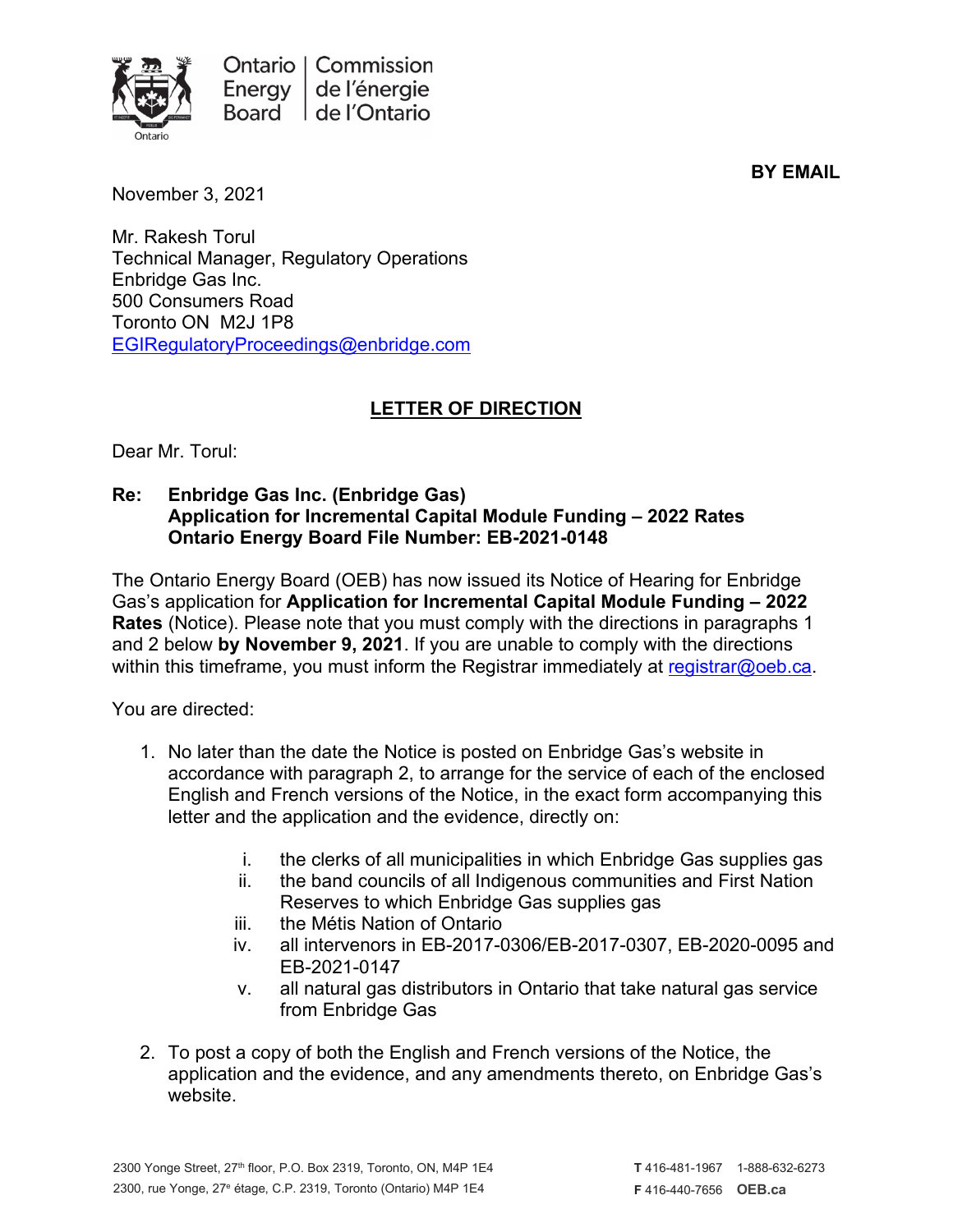

**BY EMAIL**

November 3, 2021

Mr. Rakesh Torul Technical Manager, Regulatory Operations Enbridge Gas Inc. 500 Consumers Road Toronto ON M2J 1P8 [EGIRegulatoryProceedings@enbridge.com](mailto:EGIRegulatoryProceedings@enbridge.com)

## **LETTER OF DIRECTION**

Dear Mr. Torul:

## **Re: Enbridge Gas Inc. (Enbridge Gas) Application for Incremental Capital Module Funding – 2022 Rates Ontario Energy Board File Number: EB-2021-0148**

The Ontario Energy Board (OEB) has now issued its Notice of Hearing for Enbridge Gas's application for **Application for Incremental Capital Module Funding – 2022 Rates** (Notice). Please note that you must comply with the directions in paragraphs 1 and 2 below **by November 9, 2021**. If you are unable to comply with the directions within this timeframe, you must inform the Registrar immediately at [registrar@oeb.ca.](mailto:registrar@oeb.ca)

You are directed:

- 1. No later than the date the Notice is posted on Enbridge Gas's website in accordance with paragraph 2, to arrange for the service of each of the enclosed English and French versions of the Notice, in the exact form accompanying this letter and the application and the evidence, directly on:
	- i. the clerks of all municipalities in which Enbridge Gas supplies gas
	- ii. the band councils of all Indigenous communities and First Nation Reserves to which Enbridge Gas supplies gas
	- iii. the Métis Nation of Ontario
	- iv. all intervenors in EB-2017-0306/EB-2017-0307, EB-2020-0095 and EB-2021-0147
	- v. all natural gas distributors in Ontario that take natural gas service from Enbridge Gas
- 2. To post a copy of both the English and French versions of the Notice, the application and the evidence, and any amendments thereto, on Enbridge Gas's website.